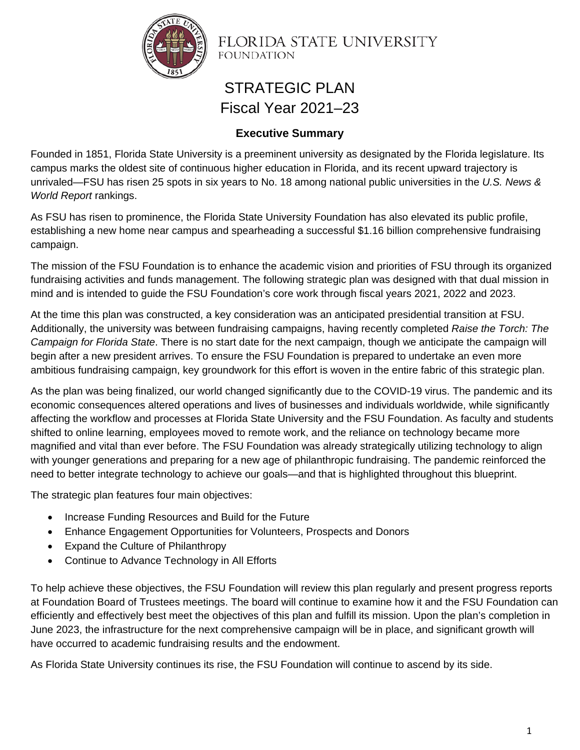

FLORIDA STATE UNIVERSITY **FOUNDATION** 

# STRATEGIC PLAN Fiscal Year 2021–23

## **Executive Summary**

Founded in 1851, Florida State University is a preeminent university as designated by the Florida legislature. Its campus marks the oldest site of continuous higher education in Florida, and its recent upward trajectory is unrivaled—FSU has risen 25 spots in six years to No. 18 among national public universities in the *U.S. News & World Report* rankings.

As FSU has risen to prominence, the Florida State University Foundation has also elevated its public profile, establishing a new home near campus and spearheading a successful \$1.16 billion comprehensive fundraising campaign.

The mission of the FSU Foundation is to enhance the academic vision and priorities of FSU through its organized fundraising activities and funds management. The following strategic plan was designed with that dual mission in mind and is intended to guide the FSU Foundation's core work through fiscal years 2021, 2022 and 2023.

At the time this plan was constructed, a key consideration was an anticipated presidential transition at FSU. Additionally, the university was between fundraising campaigns, having recently completed *Raise the Torch: The Campaign for Florida State*. There is no start date for the next campaign, though we anticipate the campaign will begin after a new president arrives. To ensure the FSU Foundation is prepared to undertake an even more ambitious fundraising campaign, key groundwork for this effort is woven in the entire fabric of this strategic plan.

As the plan was being finalized, our world changed significantly due to the COVID-19 virus. The pandemic and its economic consequences altered operations and lives of businesses and individuals worldwide, while significantly affecting the workflow and processes at Florida State University and the FSU Foundation. As faculty and students shifted to online learning, employees moved to remote work, and the reliance on technology became more magnified and vital than ever before. The FSU Foundation was already strategically utilizing technology to align with younger generations and preparing for a new age of philanthropic fundraising. The pandemic reinforced the need to better integrate technology to achieve our goals—and that is highlighted throughout this blueprint.

The strategic plan features four main objectives:

- Increase Funding Resources and Build for the Future
- Enhance Engagement Opportunities for Volunteers, Prospects and Donors
- Expand the Culture of Philanthropy
- Continue to Advance Technology in All Efforts

To help achieve these objectives, the FSU Foundation will review this plan regularly and present progress reports at Foundation Board of Trustees meetings. The board will continue to examine how it and the FSU Foundation can efficiently and effectively best meet the objectives of this plan and fulfill its mission. Upon the plan's completion in June 2023, the infrastructure for the next comprehensive campaign will be in place, and significant growth will have occurred to academic fundraising results and the endowment.

As Florida State University continues its rise, the FSU Foundation will continue to ascend by its side.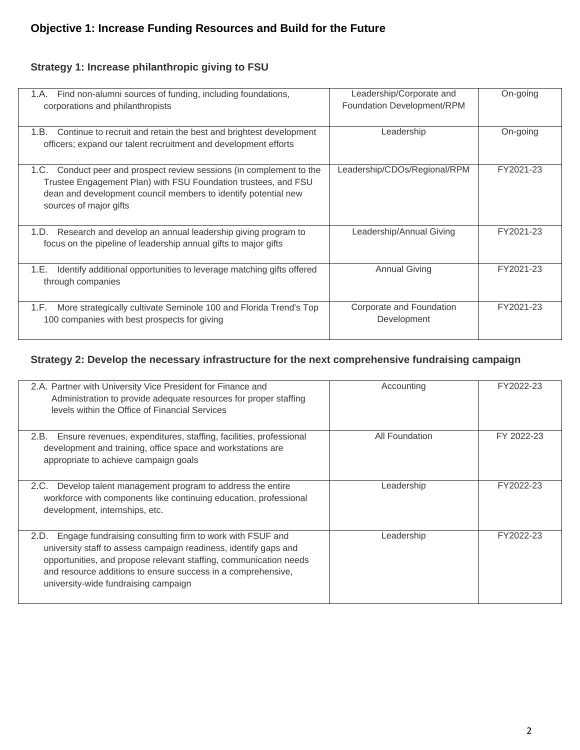#### **Strategy 1: Increase philanthropic giving to FSU**

| Find non-alumni sources of funding, including foundations,<br>1.A.<br>corporations and philanthropists                                                                                                                                | Leadership/Corporate and<br>Foundation Development/RPM | On-going  |
|---------------------------------------------------------------------------------------------------------------------------------------------------------------------------------------------------------------------------------------|--------------------------------------------------------|-----------|
| Continue to recruit and retain the best and brightest development<br>1.B. .<br>officers; expand our talent recruitment and development efforts                                                                                        | Leadership                                             | On-going  |
| Conduct peer and prospect review sessions (in complement to the<br>1.C.<br>Trustee Engagement Plan) with FSU Foundation trustees, and FSU<br>dean and development council members to identify potential new<br>sources of major gifts | Leadership/CDOs/Regional/RPM                           | FY2021-23 |
| Research and develop an annual leadership giving program to<br>1.D.<br>focus on the pipeline of leadership annual gifts to major gifts                                                                                                | Leadership/Annual Giving                               | FY2021-23 |
| Identify additional opportunities to leverage matching gifts offered<br>1.E.<br>through companies                                                                                                                                     | <b>Annual Giving</b>                                   | FY2021-23 |
| More strategically cultivate Seminole 100 and Florida Trend's Top<br>1.F.<br>100 companies with best prospects for giving                                                                                                             | Corporate and Foundation<br>Development                | FY2021-23 |

#### **Strategy 2: Develop the necessary infrastructure for the next comprehensive fundraising campaign**

| 2.A. Partner with University Vice President for Finance and<br>Administration to provide adequate resources for proper staffing<br>levels within the Office of Financial Services                                                                                                                                 | Accounting     | FY2022-23  |
|-------------------------------------------------------------------------------------------------------------------------------------------------------------------------------------------------------------------------------------------------------------------------------------------------------------------|----------------|------------|
| Ensure revenues, expenditures, staffing, facilities, professional<br>2.B.<br>development and training, office space and workstations are<br>appropriate to achieve campaign goals                                                                                                                                 | All Foundation | FY 2022-23 |
| Develop talent management program to address the entire<br>2.C.<br>workforce with components like continuing education, professional<br>development, internships, etc.                                                                                                                                            | Leadership     | FY2022-23  |
| Engage fundraising consulting firm to work with FSUF and<br>2.D.<br>university staff to assess campaign readiness, identify gaps and<br>opportunities, and propose relevant staffing, communication needs<br>and resource additions to ensure success in a comprehensive,<br>university-wide fundraising campaign | Leadership     | FY2022-23  |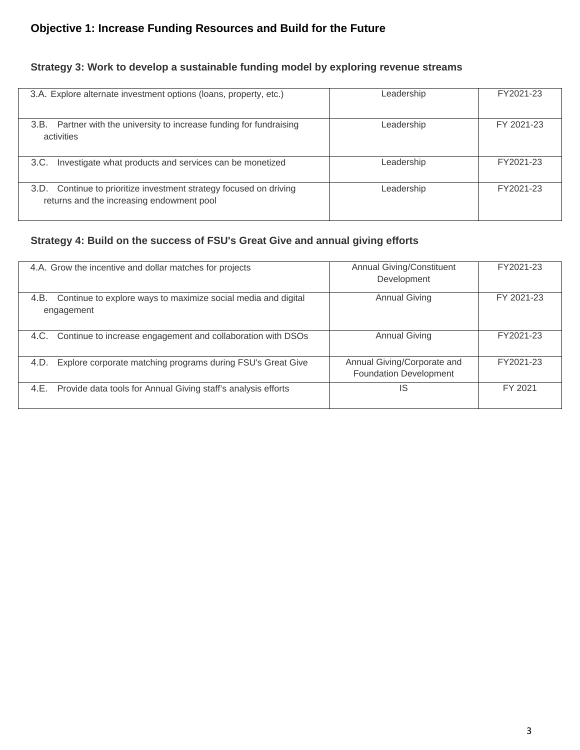# **Objective 1: Increase Funding Resources and Build for the Future**

## **Strategy 3: Work to develop a sustainable funding model by exploring revenue streams**

| 3.A. Explore alternate investment options (loans, property, etc.)                                                  | Leadership | FY2021-23  |
|--------------------------------------------------------------------------------------------------------------------|------------|------------|
| Partner with the university to increase funding for fundraising<br>3.B.<br>activities                              | Leadership | FY 2021-23 |
| Investigate what products and services can be monetized<br>3.C.                                                    | Leadership | FY2021-23  |
| Continue to prioritize investment strategy focused on driving<br>3.D.<br>returns and the increasing endowment pool | Leadership | FY2021-23  |

#### **Strategy 4: Build on the success of FSU's Great Give and annual giving efforts**

| 4.A. Grow the incentive and dollar matches for projects                             | <b>Annual Giving/Constituent</b><br>Development              | FY2021-23  |
|-------------------------------------------------------------------------------------|--------------------------------------------------------------|------------|
| Continue to explore ways to maximize social media and digital<br>4.B.<br>engagement | <b>Annual Giving</b>                                         | FY 2021-23 |
| Continue to increase engagement and collaboration with DSOs<br>4.C.                 | <b>Annual Giving</b>                                         | FY2021-23  |
| Explore corporate matching programs during FSU's Great Give<br>4.D.                 | Annual Giving/Corporate and<br><b>Foundation Development</b> | FY2021-23  |
| Provide data tools for Annual Giving staff's analysis efforts<br>4.E.               | IS                                                           | FY 2021    |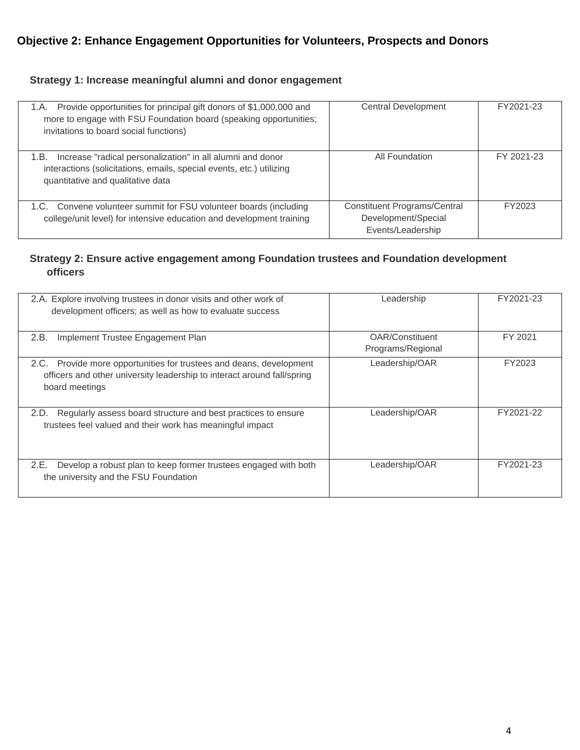## **Strategy 1: Increase meaningful alumni and donor engagement**

| Provide opportunities for principal gift donors of \$1,000,000 and<br>1.A.<br>more to engage with FSU Foundation board (speaking opportunities;<br>invitations to board social functions) | <b>Central Development</b>                                                      | FY2021-23  |
|-------------------------------------------------------------------------------------------------------------------------------------------------------------------------------------------|---------------------------------------------------------------------------------|------------|
| Increase "radical personalization" in all alumni and donor<br>1.B.<br>interactions (solicitations, emails, special events, etc.) utilizing<br>quantitative and qualitative data           | All Foundation                                                                  | FY 2021-23 |
| 1.C. Convene volunteer summit for FSU volunteer boards (including<br>college/unit level) for intensive education and development training                                                 | <b>Constituent Programs/Central</b><br>Development/Special<br>Events/Leadership | FY2023     |

#### **Strategy 2: Ensure active engagement among Foundation trustees and Foundation development officers**

| 2.A. Explore involving trustees in donor visits and other work of<br>development officers; as well as how to evaluate success                                       | Leadership                           | FY2021-23 |
|---------------------------------------------------------------------------------------------------------------------------------------------------------------------|--------------------------------------|-----------|
| 2.B.<br>Implement Trustee Engagement Plan                                                                                                                           | OAR/Constituent<br>Programs/Regional | FY 2021   |
| Provide more opportunities for trustees and deans, development<br>2.C.<br>officers and other university leadership to interact around fall/spring<br>board meetings | Leadership/OAR                       | FY2023    |
| Regularly assess board structure and best practices to ensure<br>2.D.<br>trustees feel valued and their work has meaningful impact                                  | Leadership/OAR                       | FY2021-22 |
| Develop a robust plan to keep former trustees engaged with both<br>2.E.<br>the university and the FSU Foundation                                                    | Leadership/OAR                       | FY2021-23 |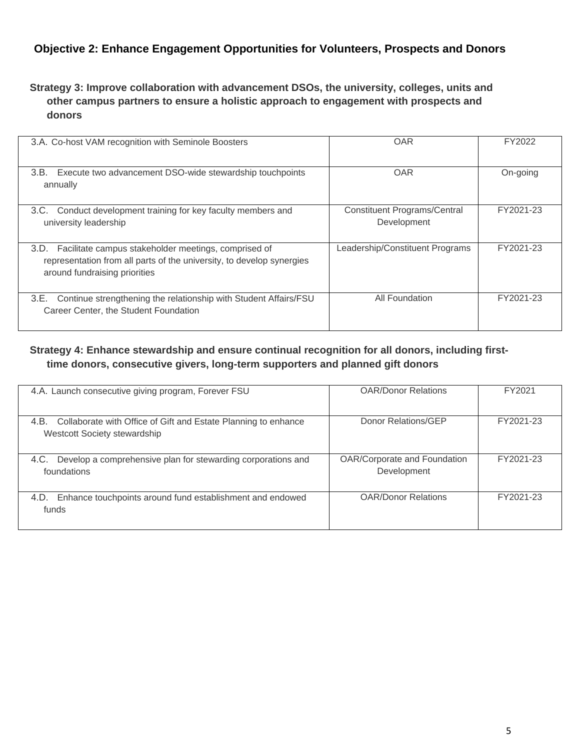## **Objective 2: Enhance Engagement Opportunities for Volunteers, Prospects and Donors**

#### **Strategy 3: Improve collaboration with advancement DSOs, the university, colleges, units and other campus partners to ensure a holistic approach to engagement with prospects and donors**

| 3.A. Co-host VAM recognition with Seminole Boosters                                                                                                                    | <b>OAR</b>                                         | FY2022    |
|------------------------------------------------------------------------------------------------------------------------------------------------------------------------|----------------------------------------------------|-----------|
| 3.B.<br>Execute two advancement DSO-wide stewardship touch points<br>annually                                                                                          | <b>OAR</b>                                         | On-going  |
| Conduct development training for key faculty members and<br>3.C.<br>university leadership                                                                              | <b>Constituent Programs/Central</b><br>Development | FY2021-23 |
| Facilitate campus stakeholder meetings, comprised of<br>3.D.<br>representation from all parts of the university, to develop synergies<br>around fundraising priorities | Leadership/Constituent Programs                    | FY2021-23 |
| Continue strengthening the relationship with Student Affairs/FSU<br>3.E.<br>Career Center, the Student Foundation                                                      | All Foundation                                     | FY2021-23 |

## **Strategy 4: Enhance stewardship and ensure continual recognition for all donors, including firsttime donors, consecutive givers, long-term supporters and planned gift donors**

| 4.A. Launch consecutive giving program, Forever FSU                                                    | <b>OAR/Donor Relations</b>                  | FY2021    |
|--------------------------------------------------------------------------------------------------------|---------------------------------------------|-----------|
| Collaborate with Office of Gift and Estate Planning to enhance<br>4.B.<br>Westcott Society stewardship | Donor Relations/GEP                         | FY2021-23 |
| Develop a comprehensive plan for stewarding corporations and<br>4.C.<br>foundations                    | OAR/Corporate and Foundation<br>Development | FY2021-23 |
| Enhance touchpoints around fund establishment and endowed<br>4.D.<br>funds                             | <b>OAR/Donor Relations</b>                  | FY2021-23 |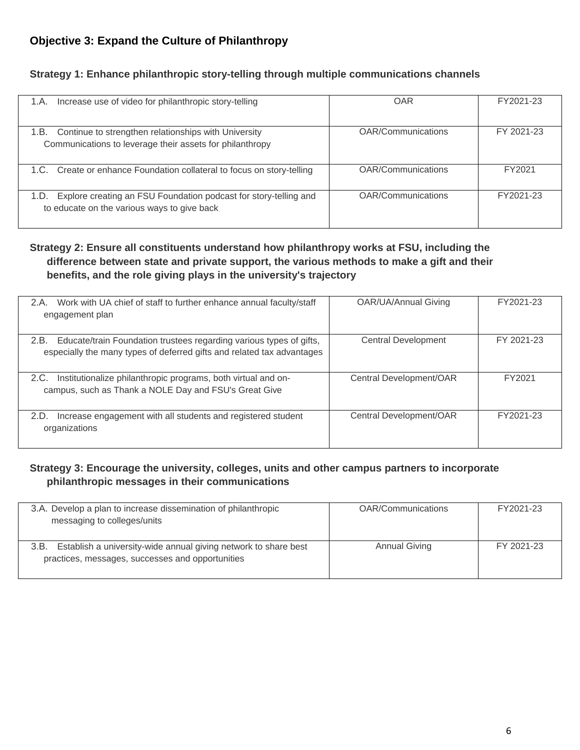## **Objective 3: Expand the Culture of Philanthropy**

#### **Strategy 1: Enhance philanthropic story-telling through multiple communications channels**

| Increase use of video for philanthropic story-telling<br>1.A.                                                            | OAR                | FY2021-23  |
|--------------------------------------------------------------------------------------------------------------------------|--------------------|------------|
| Continue to strengthen relationships with University<br>1.B.<br>Communications to leverage their assets for philanthropy | OAR/Communications | FY 2021-23 |
| 1.C. Create or enhance Foundation collateral to focus on story-telling                                                   | OAR/Communications | FY2021     |
| Explore creating an FSU Foundation podcast for story-telling and<br>1.D.<br>to educate on the various ways to give back  | OAR/Communications | FY2021-23  |

#### **Strategy 2: Ensure all constituents understand how philanthropy works at FSU, including the difference between state and private support, the various methods to make a gift and their benefits, and the role giving plays in the university's trajectory**

| 2.A.<br>Work with UA chief of staff to further enhance annual faculty/staff<br>engagement plan                                                        | OAR/UA/Annual Giving       | FY2021-23  |
|-------------------------------------------------------------------------------------------------------------------------------------------------------|----------------------------|------------|
| Educate/train Foundation trustees regarding various types of gifts,<br>2.B.<br>especially the many types of deferred gifts and related tax advantages | <b>Central Development</b> | FY 2021-23 |
| Institutionalize philanthropic programs, both virtual and on-<br>2.C.<br>campus, such as Thank a NOLE Day and FSU's Great Give                        | Central Development/OAR    | FY2021     |
| Increase engagement with all students and registered student<br>2.D.<br>organizations                                                                 | Central Development/OAR    | FY2021-23  |

#### **Strategy 3: Encourage the university, colleges, units and other campus partners to incorporate philanthropic messages in their communications**

| 3.A. Develop a plan to increase dissemination of philanthropic<br>messaging to colleges/units                               | <b>OAR/Communications</b> | FY2021-23  |
|-----------------------------------------------------------------------------------------------------------------------------|---------------------------|------------|
| Establish a university-wide annual giving network to share best<br>3.B.<br>practices, messages, successes and opportunities | <b>Annual Giving</b>      | FY 2021-23 |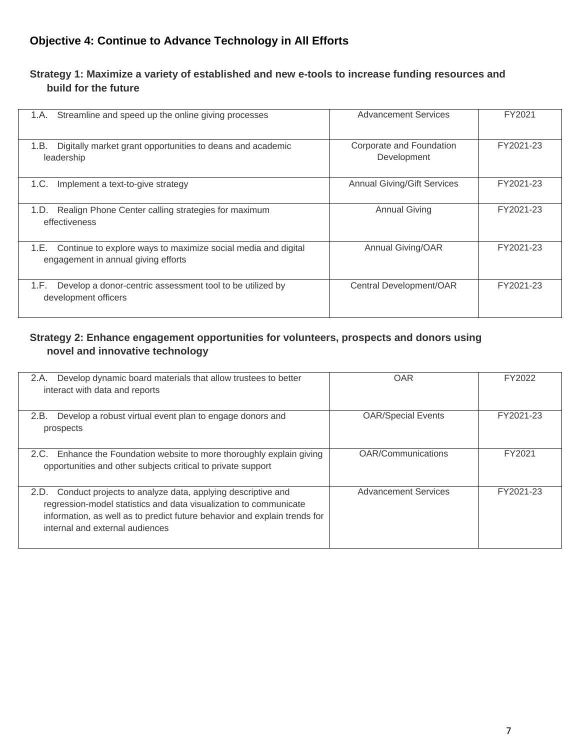## **Objective 4: Continue to Advance Technology in All Efforts**

#### **Strategy 1: Maximize a variety of established and new e-tools to increase funding resources and build for the future**

| Streamline and speed up the online giving processes<br>1.A.                                                  | <b>Advancement Services</b>             | FY2021    |
|--------------------------------------------------------------------------------------------------------------|-----------------------------------------|-----------|
| Digitally market grant opportunities to deans and academic<br>1.B.<br>leadership                             | Corporate and Foundation<br>Development | FY2021-23 |
| Implement a text-to-give strategy<br>1.C.                                                                    | <b>Annual Giving/Gift Services</b>      | FY2021-23 |
| Realign Phone Center calling strategies for maximum<br>1.D.<br>effectiveness                                 | <b>Annual Giving</b>                    | FY2021-23 |
| Continue to explore ways to maximize social media and digital<br>1.E.<br>engagement in annual giving efforts | Annual Giving/OAR                       | FY2021-23 |
| Develop a donor-centric assessment tool to be utilized by<br>1.F.<br>development officers                    | Central Development/OAR                 | FY2021-23 |

## **Strategy 2: Enhance engagement opportunities for volunteers, prospects and donors using novel and innovative technology**

| 2.A.<br>Develop dynamic board materials that allow trustees to better<br>interact with data and reports                                                                                                                                                 | <b>OAR</b>                  | FY2022    |
|---------------------------------------------------------------------------------------------------------------------------------------------------------------------------------------------------------------------------------------------------------|-----------------------------|-----------|
| 2.B.<br>Develop a robust virtual event plan to engage donors and<br>prospects                                                                                                                                                                           | <b>OAR/Special Events</b>   | FY2021-23 |
| 2.C. Enhance the Foundation website to more thoroughly explain giving<br>opportunities and other subjects critical to private support                                                                                                                   | OAR/Communications          | FY2021    |
| Conduct projects to analyze data, applying descriptive and<br>2.D.<br>regression-model statistics and data visualization to communicate<br>information, as well as to predict future behavior and explain trends for<br>internal and external audiences | <b>Advancement Services</b> | FY2021-23 |